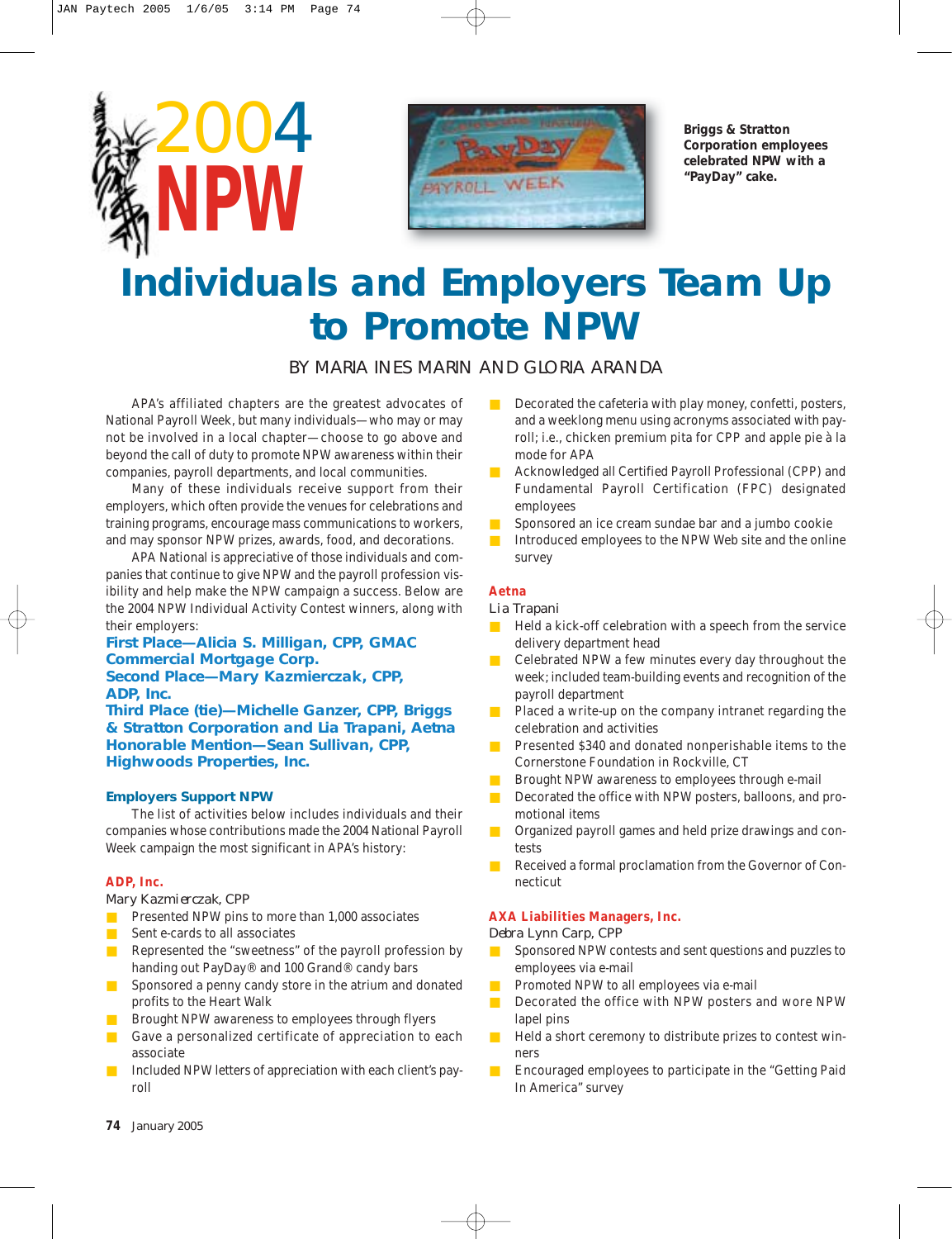



**Briggs & Stratton Corporation employees celebrated NPW with a "PayDay" cake.**

## **Individuals and Employers Team Up to Promote NPW**

BY MARIA INES MARIN AND GLORIA ARANDA

APA's affiliated chapters are the greatest advocates of National Payroll Week, but many individuals—who may or may not be involved in a local chapter—choose to go above and beyond the call of duty to promote NPW awareness within their companies, payroll departments, and local communities.

Many of these individuals receive support from their employers, which often provide the venues for celebrations and training programs, encourage mass communications to workers, and may sponsor NPW prizes, awards, food, and decorations.

APA National is appreciative of those individuals and companies that continue to give NPW and the payroll profession visibility and help make the NPW campaign a success. Below are the 2004 NPW Individual Activity Contest winners, along with their employers:

**First Place—Alicia S. Milligan, CPP, GMAC Commercial Mortgage Corp. Second Place—Mary Kazmierczak, CPP, ADP, Inc.**

**Third Place (tie)—Michelle Ganzer, CPP, Briggs & Stratton Corporation and Lia Trapani, Aetna Honorable Mention—Sean Sullivan, CPP, Highwoods Properties, Inc.**

#### **Employers Support NPW**

The list of activities below includes individuals and their companies whose contributions made the 2004 National Payroll Week campaign the most significant in APA's history:

#### **ADP, Inc.**

*Mary Kazmierczak, CPP*

- Presented NPW pins to more than 1,000 associates
- Sent e-cards to all associates
- Represented the "sweetness" of the payroll profession by handing out PayDay® and 100 Grand® candy bars
- Sponsored a penny candy store in the atrium and donated profits to the Heart Walk
- Brought NPW awareness to employees through flyers
- Gave a personalized certificate of appreciation to each associate
- Included NPW letters of appreciation with each client's payroll
- Decorated the cafeteria with play money, confetti, posters, and a weeklong menu using acronyms associated with payroll; i.e., chicken premium pita for CPP and apple pie à la mode for APA
- Acknowledged all Certified Payroll Professional (CPP) and Fundamental Payroll Certification (FPC) designated employees
- Sponsored an ice cream sundae bar and a jumbo cookie
- Introduced employees to the NPW Web site and the online survey

#### **Aetna**

#### *Lia Trapani*

- Held a kick-off celebration with a speech from the service delivery department head
- Celebrated NPW a few minutes every day throughout the week; included team-building events and recognition of the payroll department
- Placed a write-up on the company intranet regarding the celebration and activities
- Presented \$340 and donated nonperishable items to the Cornerstone Foundation in Rockville, CT
- Brought NPW awareness to employees through e-mail
- Decorated the office with NPW posters, balloons, and promotional items
- Organized payroll games and held prize drawings and contests
- Received a formal proclamation from the Governor of Connecticut

#### **AXA Liabilities Managers, Inc.**

#### *Debra Lynn Carp, CPP*

- Sponsored NPW contests and sent questions and puzzles to employees via e-mail
- Promoted NPW to all employees via e-mail
- Decorated the office with NPW posters and wore NPW lapel pins
- Held a short ceremony to distribute prizes to contest winners
- Encouraged employees to participate in the "Getting Paid In America" survey

**74** *January 2005*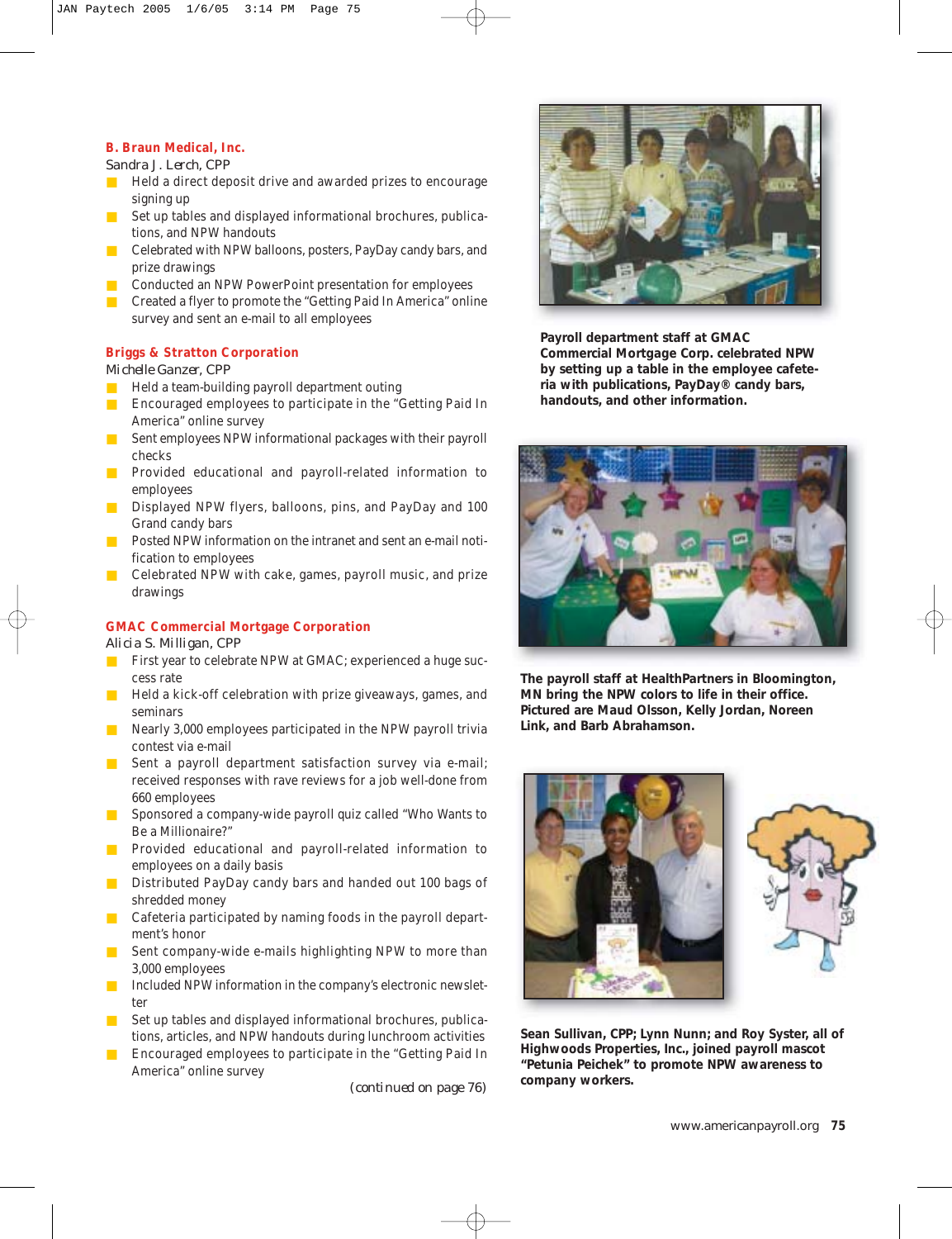#### **B. Braun Medical, Inc.**

#### *Sandra J. Lerch, CPP*

- Held a direct deposit drive and awarded prizes to encourage signing up
- Set up tables and displayed informational brochures, publications, and NPW handouts
- Celebrated with NPW balloons, posters, PayDay candy bars, and prize drawings
- Conducted an NPW PowerPoint presentation for employees
- Created a flyer to promote the "Getting Paid In America" online survey and sent an e-mail to all employees

#### **Briggs & Stratton Corporation**

#### *Michelle Ganzer, CPP*

- Held a team-building payroll department outing
- Encouraged employees to participate in the "Getting Paid In America" online survey
- Sent employees NPW informational packages with their payroll checks
- Provided educational and payroll-related information to employees
- Displayed NPW flyers, balloons, pins, and PayDay and 100 Grand candy bars
- Posted NPW information on the intranet and sent an e-mail notification to employees
- Celebrated NPW with cake, games, payroll music, and prize drawings

## **GMAC Commercial Mortgage Corporation**

*Alicia S. Milligan, CPP*

- First year to celebrate NPW at GMAC; experienced a huge success rate
- Held a kick-off celebration with prize giveaways, games, and seminars
- Nearly 3,000 employees participated in the NPW payroll trivia contest via e-mail
- Sent a payroll department satisfaction survey via e-mail; received responses with rave reviews for a job well-done from 660 employees
- Sponsored a company-wide payroll quiz called "Who Wants to Be a Millionaire?"
- Provided educational and payroll-related information to employees on a daily basis
- Distributed PayDay candy bars and handed out 100 bags of shredded money
- Cafeteria participated by naming foods in the payroll department's honor
- Sent company-wide e-mails highlighting NPW to more than 3,000 employees
- Included NPW information in the company's electronic newsletter
- Set up tables and displayed informational brochures, publications, articles, and NPW handouts during lunchroom activities
- Encouraged employees to participate in the "Getting Paid In America" online survey

*(continued on page 76)*



**Payroll department staff at GMAC Commercial Mortgage Corp. celebrated NPW by setting up a table in the employee cafeteria with publications, PayDay® candy bars, handouts, and other information.**



**The payroll staff at HealthPartners in Bloomington, MN bring the NPW colors to life in their office. Pictured are Maud Olsson, Kelly Jordan, Noreen Link, and Barb Abrahamson.**



**Sean Sullivan, CPP; Lynn Nunn; and Roy Syster, all of Highwoods Properties, Inc., joined payroll mascot "Petunia Peichek" to promote NPW awareness to company workers.**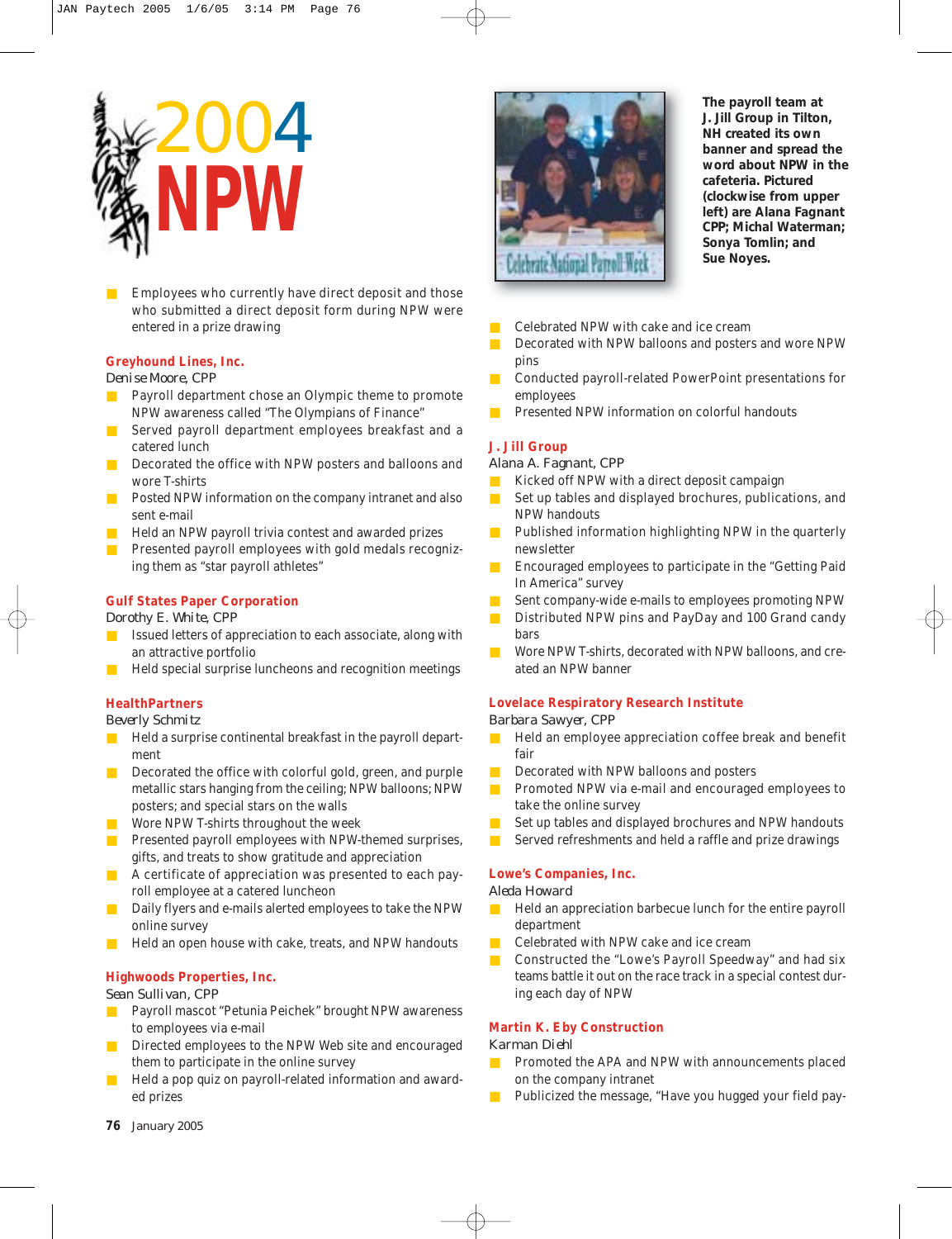

Employees who currently have direct deposit and those who submitted a direct deposit form during NPW were entered in a prize drawing

#### **Greyhound Lines, Inc.**

*Denise Moore, CPP*

- Payroll department chose an Olympic theme to promote NPW awareness called "The Olympians of Finance"
- Served payroll department employees breakfast and a catered lunch
- Decorated the office with NPW posters and balloons and wore T-shirts
- Posted NPW information on the company intranet and also sent e-mail
- Held an NPW payroll trivia contest and awarded prizes
- **EXECUTE:** Presented payroll employees with gold medals recognizing them as "star payroll athletes"

#### **Gulf States Paper Corporation**

*Dorothy E. White, CPP*

- Issued letters of appreciation to each associate, along with an attractive portfolio
- Held special surprise luncheons and recognition meetings

#### **HealthPartners**

*Beverly Schmitz*

- Held a surprise continental breakfast in the payroll department
- Decorated the office with colorful gold, green, and purple metallic stars hanging from the ceiling; NPW balloons; NPW posters; and special stars on the walls
- Wore NPW T-shirts throughout the week
- Presented payroll employees with NPW-themed surprises, gifts, and treats to show gratitude and appreciation
- A certificate of appreciation was presented to each payroll employee at a catered luncheon
- Daily flyers and e-mails alerted employees to take the NPW online survey
- Held an open house with cake, treats, and NPW handouts

#### **Highwoods Properties, Inc.**

*Sean Sullivan, CPP*

- Payroll mascot "Petunia Peichek" brought NPW awareness to employees via e-mail
- Directed employees to the NPW Web site and encouraged them to participate in the online survey
- Held a pop quiz on payroll-related information and awarded prizes



**The payroll team at J. Jill Group in Tilton, NH created its own banner and spread the word about NPW in the cafeteria. Pictured (clockwise from upper left) are Alana Fagnant CPP; Michal Waterman; Sonya Tomlin; and Sue Noyes.** 

- Celebrated NPW with cake and ice cream
- Decorated with NPW balloons and posters and wore NPW pins
- Conducted payroll-related PowerPoint presentations for employees
- Presented NPW information on colorful handouts

#### **J. Jill Group**

*Alana A. Fagnant, CPP*

- Kicked off NPW with a direct deposit campaign
- Set up tables and displayed brochures, publications, and NPW handouts
- Published information highlighting NPW in the quarterly newsletter
- Encouraged employees to participate in the "Getting Paid In America" survey
- Sent company-wide e-mails to employees promoting NPW
- Distributed NPW pins and PayDay and 100 Grand candy bars
- Wore NPW T-shirts, decorated with NPW balloons, and created an NPW banner

#### **Lovelace Respiratory Research Institute**

#### *Barbara Sawyer, CPP*

- Held an employee appreciation coffee break and benefit fair
- Decorated with NPW balloons and posters
- Promoted NPW via e-mail and encouraged employees to take the online survey
- Set up tables and displayed brochures and NPW handouts
- Served refreshments and held a raffle and prize drawings

#### **Lowe's Companies, Inc.**

#### *Aleda Howard*

- Held an appreciation barbecue lunch for the entire payroll department
- Celebrated with NPW cake and ice cream
- Constructed the "Lowe's Payroll Speedway" and had six teams battle it out on the race track in a special contest during each day of NPW

#### **Martin K. Eby Construction**

#### *Karman Diehl*

- Promoted the APA and NPW with announcements placed on the company intranet
- Publicized the message, "Have you hugged your field pay-

**76** *January 2005*